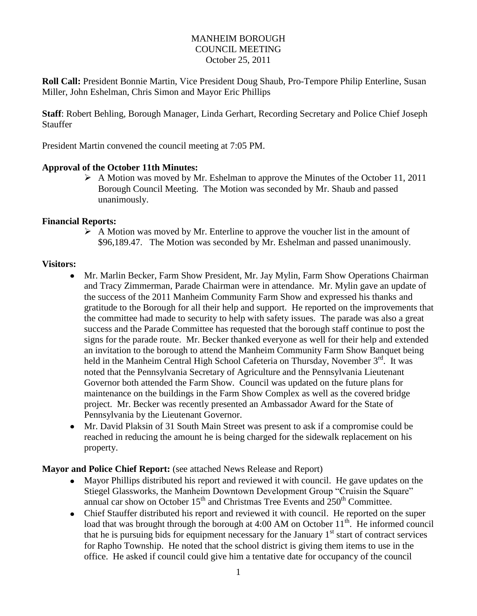## MANHEIM BOROUGH COUNCIL MEETING October 25, 2011

**Roll Call:** President Bonnie Martin, Vice President Doug Shaub, Pro-Tempore Philip Enterline, Susan Miller, John Eshelman, Chris Simon and Mayor Eric Phillips

**Staff**: Robert Behling, Borough Manager, Linda Gerhart, Recording Secretary and Police Chief Joseph Stauffer

President Martin convened the council meeting at 7:05 PM.

#### **Approval of the October 11th Minutes:**

 $\triangleright$  A Motion was moved by Mr. Eshelman to approve the Minutes of the October 11, 2011 Borough Council Meeting. The Motion was seconded by Mr. Shaub and passed unanimously.

#### **Financial Reports:**

 $\triangleright$  A Motion was moved by Mr. Enterline to approve the voucher list in the amount of \$96,189.47. The Motion was seconded by Mr. Eshelman and passed unanimously.

#### **Visitors:**

- Mr. Marlin Becker, Farm Show President, Mr. Jay Mylin, Farm Show Operations Chairman  $\bullet$ and Tracy Zimmerman, Parade Chairman were in attendance. Mr. Mylin gave an update of the success of the 2011 Manheim Community Farm Show and expressed his thanks and gratitude to the Borough for all their help and support. He reported on the improvements that the committee had made to security to help with safety issues. The parade was also a great success and the Parade Committee has requested that the borough staff continue to post the signs for the parade route.Mr. Becker thanked everyone as well for their help and extended an invitation to the borough to attend the Manheim Community Farm Show Banquet being held in the Manheim Central High School Cafeteria on Thursday, November 3<sup>rd</sup>. It was noted that the Pennsylvania Secretary of Agriculture and the Pennsylvania Lieutenant Governor both attended the Farm Show. Council was updated on the future plans for maintenance on the buildings in the Farm Show Complex as well as the covered bridge project. Mr. Becker was recently presented an Ambassador Award for the State of Pennsylvania by the Lieutenant Governor.
- Mr. David Plaksin of 31 South Main Street was present to ask if a compromise could be reached in reducing the amount he is being charged for the sidewalk replacement on his property.

## **Mayor and Police Chief Report:** (see attached News Release and Report)

- Mayor Phillips distributed his report and reviewed it with council. He gave updates on the Stiegel Glassworks, the Manheim Downtown Development Group "Cruisin the Square" annual car show on October  $15<sup>th</sup>$  and Christmas Tree Events and  $250<sup>th</sup>$  Committee.
- Chief Stauffer distributed his report and reviewed it with council. He reported on the super load that was brought through the borough at 4:00 AM on October  $11<sup>th</sup>$ . He informed council that he is pursuing bids for equipment necessary for the January 1<sup>st</sup> start of contract services for Rapho Township. He noted that the school district is giving them items to use in the office. He asked if council could give him a tentative date for occupancy of the council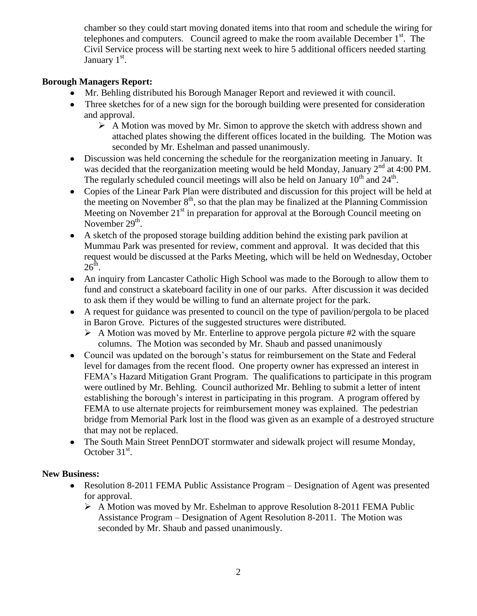chamber so they could start moving donated items into that room and schedule the wiring for telephones and computers. Council agreed to make the room available December 1<sup>st</sup>. The Civil Service process will be starting next week to hire 5 additional officers needed starting January 1<sup>st</sup>.

# **Borough Managers Report:**

- Mr. Behling distributed his Borough Manager Report and reviewed it with council.
- Three sketches for of a new sign for the borough building were presented for consideration and approval.
	- $\triangleright$  A Motion was moved by Mr. Simon to approve the sketch with address shown and attached plates showing the different offices located in the building. The Motion was seconded by Mr. Eshelman and passed unanimously.
- Discussion was held concerning the schedule for the reorganization meeting in January. It was decided that the reorganization meeting would be held Monday, January 2<sup>nd</sup> at 4:00 PM. The regularly scheduled council meetings will also be held on January  $10^{th}$  and  $24^{th}$ .
- Copies of the Linear Park Plan were distributed and discussion for this project will be held at the meeting on November  $8<sup>th</sup>$ , so that the plan may be finalized at the Planning Commission Meeting on November  $21<sup>st</sup>$  in preparation for approval at the Borough Council meeting on November  $29<sup>th</sup>$ .
- A sketch of the proposed storage building addition behind the existing park pavilion at Mummau Park was presented for review, comment and approval. It was decided that this request would be discussed at the Parks Meeting, which will be held on Wednesday, October  $26^{\text{th}}$ .
- An inquiry from Lancaster Catholic High School was made to the Borough to allow them to fund and construct a skateboard facility in one of our parks. After discussion it was decided to ask them if they would be willing to fund an alternate project for the park.
- A request for guidance was presented to council on the type of pavilion/pergola to be placed in Baron Grove. Pictures of the suggested structures were distributed.
	- $\triangleright$  A Motion was moved by Mr. Enterline to approve pergola picture #2 with the square columns. The Motion was seconded by Mr. Shaub and passed unanimously
- Council was updated on the borough's status for reimbursement on the State and Federal level for damages from the recent flood. One property owner has expressed an interest in FEMA's Hazard Mitigation Grant Program. The qualifications to participate in this program were outlined by Mr. Behling. Council authorized Mr. Behling to submit a letter of intent establishing the borough's interest in participating in this program. A program offered by FEMA to use alternate projects for reimbursement money was explained. The pedestrian bridge from Memorial Park lost in the flood was given as an example of a destroyed structure that may not be replaced.
- The South Main Street PennDOT stormwater and sidewalk project will resume Monday,  $\bullet$ October  $31<sup>st</sup>$ .

# **New Business:**

- Resolution 8-2011 FEMA Public Assistance Program Designation of Agent was presented  $\bullet$ for approval.
	- $\triangleright$  A Motion was moved by Mr. Eshelman to approve Resolution 8-2011 FEMA Public Assistance Program – Designation of Agent Resolution 8-2011. The Motion was seconded by Mr. Shaub and passed unanimously.